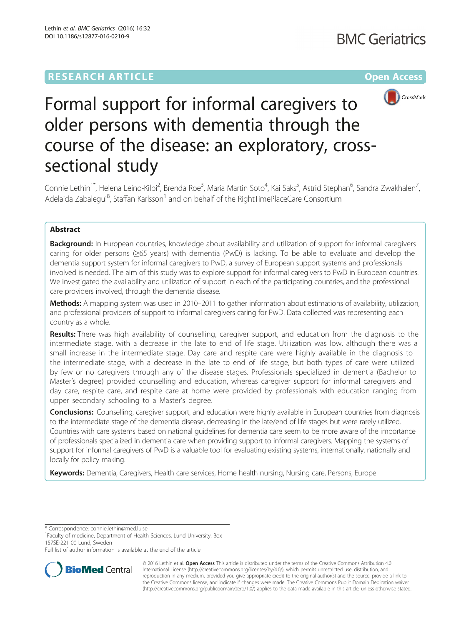## **RESEARCH ARTICLE Example 2014 12:30 The Community Community Community Community Community Community Community**



# Formal support for informal caregivers to older persons with dementia through the course of the disease: an exploratory, crosssectional study

Connie Lethin<sup>1\*</sup>, Helena Leino-Kilpi<sup>2</sup>, Brenda Roe<sup>3</sup>, Maria Martin Soto<sup>4</sup>, Kai Saks<sup>5</sup>, Astrid Stephan<sup>6</sup>, Sandra Zwakhalen<sup>7</sup> , Adelaida Zabalegui<sup>8</sup>, Staffan Karlsson<sup>1</sup> and on behalf of the RightTimePlaceCare Consortium

### Abstract

**Background:** In European countries, knowledge about availability and utilization of support for informal caregivers caring for older persons (≥65 years) with dementia (PwD) is lacking. To be able to evaluate and develop the dementia support system for informal caregivers to PwD, a survey of European support systems and professionals involved is needed. The aim of this study was to explore support for informal caregivers to PwD in European countries. We investigated the availability and utilization of support in each of the participating countries, and the professional care providers involved, through the dementia disease.

Methods: A mapping system was used in 2010–2011 to gather information about estimations of availability, utilization, and professional providers of support to informal caregivers caring for PwD. Data collected was representing each country as a whole.

Results: There was high availability of counselling, caregiver support, and education from the diagnosis to the intermediate stage, with a decrease in the late to end of life stage. Utilization was low, although there was a small increase in the intermediate stage. Day care and respite care were highly available in the diagnosis to the intermediate stage, with a decrease in the late to end of life stage, but both types of care were utilized by few or no caregivers through any of the disease stages. Professionals specialized in dementia (Bachelor to Master's degree) provided counselling and education, whereas caregiver support for informal caregivers and day care, respite care, and respite care at home were provided by professionals with education ranging from upper secondary schooling to a Master's degree.

**Conclusions:** Counselling, caregiver support, and education were highly available in European countries from diagnosis to the intermediate stage of the dementia disease, decreasing in the late/end of life stages but were rarely utilized. Countries with care systems based on national guidelines for dementia care seem to be more aware of the importance of professionals specialized in dementia care when providing support to informal caregivers. Mapping the systems of support for informal caregivers of PwD is a valuable tool for evaluating existing systems, internationally, nationally and locally for policy making.

Keywords: Dementia, Caregivers, Health care services, Home health nursing, Nursing care, Persons, Europe

\* Correspondence: [connie.lethin@med.lu.se](mailto:connie.lethin@med.lu.se) <sup>1</sup>

<sup>1</sup>Faculty of medicine, Department of Health Sciences, Lund University, Box 157SE-221 00 Lund, Sweden

Full list of author information is available at the end of the article



© 2016 Lethin et al. Open Access This article is distributed under the terms of the Creative Commons Attribution 4.0 International License [\(http://creativecommons.org/licenses/by/4.0/](http://creativecommons.org/licenses/by/4.0/)), which permits unrestricted use, distribution, and reproduction in any medium, provided you give appropriate credit to the original author(s) and the source, provide a link to the Creative Commons license, and indicate if changes were made. The Creative Commons Public Domain Dedication waiver [\(http://creativecommons.org/publicdomain/zero/1.0/](http://creativecommons.org/publicdomain/zero/1.0/)) applies to the data made available in this article, unless otherwise stated.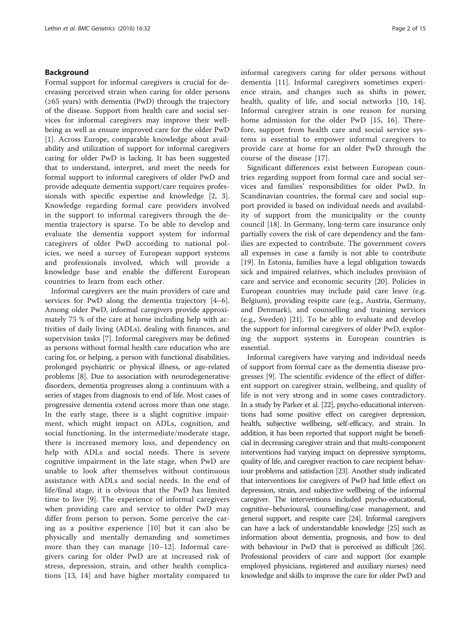### Background

Formal support for informal caregivers is crucial for decreasing perceived strain when caring for older persons  $(\geq 65$  years) with dementia (PwD) through the trajectory of the disease. Support from health care and social services for informal caregivers may improve their wellbeing as well as ensure improved care for the older PwD [[1\]](#page-13-0). Across Europe, comparable knowledge about availability and utilization of support for informal caregivers caring for older PwD is lacking. It has been suggested that to understand, interpret, and meet the needs for formal support to informal caregivers of older PwD and provide adequate dementia support/care requires professionals with specific expertise and knowledge [\[2](#page-13-0), [3](#page-13-0)]. Knowledge regarding formal care providers involved in the support to informal caregivers through the dementia trajectory is sparse. To be able to develop and evaluate the dementia support system for informal caregivers of older PwD according to national policies, we need a survey of European support systems and professionals involved, which will provide a knowledge base and enable the different European countries to learn from each other.

Informal caregivers are the main providers of care and services for PwD along the dementia trajectory [\[4](#page-13-0)–[6](#page-13-0)]. Among older PwD, informal caregivers provide approximately 75 % of the care at home including help with activities of daily living (ADLs), dealing with finances, and supervision tasks [[7\]](#page-13-0). Informal caregivers may be defined as persons without formal health care education who are caring for, or helping, a person with functional disabilities, prolonged psychiatric or physical illness, or age-related problems [\[8\]](#page-13-0). Due to association with neurodegenerative disorders, dementia progresses along a continuum with a series of stages from diagnosis to end of life. Most cases of progressive dementia extend across more than one stage. In the early stage, there is a slight cognitive impairment, which might impact on ADLs, cognition, and social functioning. In the intermediate/moderate stage, there is increased memory loss, and dependency on help with ADLs and social needs. There is severe cognitive impairment in the late stage, when PwD are unable to look after themselves without continuous assistance with ADLs and social needs. In the end of life/final stage, it is obvious that the PwD has limited time to live [[9\]](#page-13-0). The experience of informal caregivers when providing care and service to older PwD may differ from person to person. Some perceive the caring as a positive experience [[10\]](#page-13-0) but it can also be physically and mentally demanding and sometimes more than they can manage [\[10](#page-13-0)–[12](#page-13-0)]. Informal caregivers caring for older PwD are at increased risk of stress, depression, strain, and other health complications [[13, 14\]](#page-13-0) and have higher mortality compared to

informal caregivers caring for older persons without dementia [[11\]](#page-13-0). Informal caregivers sometimes experience strain, and changes such as shifts in power, health, quality of life, and social networks [[10](#page-13-0), [14](#page-13-0)]. Informal caregiver strain is one reason for nursing home admission for the older PwD [[15, 16](#page-13-0)]. Therefore, support from health care and social service systems is essential to empower informal caregivers to provide care at home for an older PwD through the course of the disease [\[17](#page-13-0)].

Significant differences exist between European countries regarding support from formal care and social services and families' responsibilities for older PwD. In Scandinavian countries, the formal care and social support provided is based on individual needs and availability of support from the municipality or the county council [[18\]](#page-13-0). In Germany, long-term care insurance only partially covers the risk of care dependency and the families are expected to contribute. The government covers all expenses in case a family is not able to contribute [[19\]](#page-13-0). In Estonia, families have a legal obligation towards sick and impaired relatives, which includes provision of care and service and economic security [[20\]](#page-13-0). Policies in European countries may include paid care leave (e.g. Belgium), providing respite care (e.g., Austria, Germany, and Denmark), and counselling and training services (e.g., Sweden) [\[21](#page-13-0)]. To be able to evaluate and develop the support for informal caregivers of older PwD, exploring the support systems in European countries is essential.

Informal caregivers have varying and individual needs of support from formal care as the dementia disease progresses [[9](#page-13-0)]. The scientific evidence of the effect of different support on caregiver strain, wellbeing, and quality of life is not very strong and in some cases contradictory. In a study by Parker et al. [\[22](#page-13-0)], psycho-educational interventions had some positive effect on caregiver depression, health, subjective wellbeing, self-efficacy, and strain. In addition, it has been reported that support might be beneficial in decreasing caregiver strain and that multi-component interventions had varying impact on depressive symptoms, quality of life, and caregiver reaction to care recipient behaviour problems and satisfaction [[23\]](#page-13-0). Another study indicated that interventions for caregivers of PwD had little effect on depression, strain, and subjective wellbeing of the informal caregiver. The interventions included psycho-educational, cognitive–behavioural, counselling/case management, and general support, and respite care [\[24](#page-13-0)]. Informal caregivers can have a lack of understandable knowledge [\[25](#page-13-0)] such as information about dementia, prognosis, and how to deal with behaviour in PwD that is perceived as difficult [\[26](#page-13-0)]. Professional providers of care and support (for example employed physicians, registered and auxiliary nurses) need knowledge and skills to improve the care for older PwD and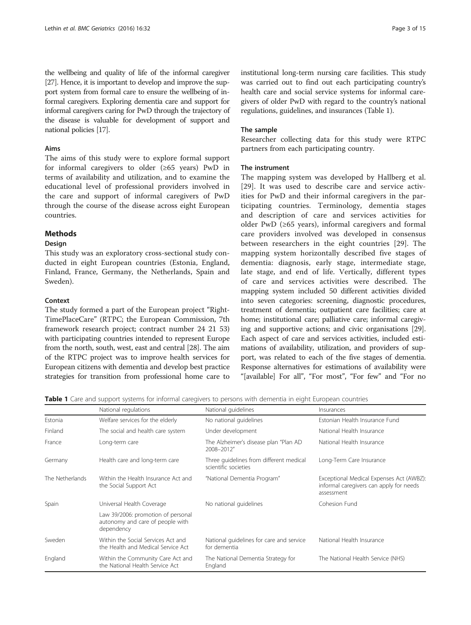the wellbeing and quality of life of the informal caregiver [[27\]](#page-13-0). Hence, it is important to develop and improve the support system from formal care to ensure the wellbeing of informal caregivers. Exploring dementia care and support for informal caregivers caring for PwD through the trajectory of the disease is valuable for development of support and national policies [[17](#page-13-0)].

### Aims

The aims of this study were to explore formal support for informal caregivers to older (≥65 years) PwD in terms of availability and utilization, and to examine the educational level of professional providers involved in the care and support of informal caregivers of PwD through the course of the disease across eight European countries.

### **Methods**

### **Design**

This study was an exploratory cross-sectional study conducted in eight European countries (Estonia, England, Finland, France, Germany, the Netherlands, Spain and Sweden).

### Context

The study formed a part of the European project "Right-TimePlaceCare" (RTPC; the European Commission, 7th framework research project; contract number 24 21 53) with participating countries intended to represent Europe from the north, south, west, east and central [[28](#page-13-0)]. The aim of the RTPC project was to improve health services for European citizens with dementia and develop best practice strategies for transition from professional home care to institutional long-term nursing care facilities. This study was carried out to find out each participating country's health care and social service systems for informal caregivers of older PwD with regard to the country's national regulations, guidelines, and insurances (Table 1).

### The sample

Researcher collecting data for this study were RTPC partners from each participating country.

### The instrument

The mapping system was developed by Hallberg et al. [[29\]](#page-13-0). It was used to describe care and service activities for PwD and their informal caregivers in the participating countries. Terminology, dementia stages and description of care and services activities for older PwD (≥65 years), informal caregivers and formal care providers involved was developed in consensus between researchers in the eight countries [\[29](#page-13-0)]. The mapping system horizontally described five stages of dementia: diagnosis, early stage, intermediate stage, late stage, and end of life. Vertically, different types of care and services activities were described. The mapping system included 50 different activities divided into seven categories: screening, diagnostic procedures, treatment of dementia; outpatient care facilities; care at home; institutional care; palliative care; informal caregiving and supportive actions; and civic organisations [[29](#page-13-0)]. Each aspect of care and services activities, included estimations of availability, utilization, and providers of support, was related to each of the five stages of dementia. Response alternatives for estimations of availability were "[available] For all", "For most", "For few" and "For no

**Table 1** Care and support systems for informal caregivers to persons with dementia in eight European countries

|                 | National regulations                                                                 | National quidelines                                             | Insurances                                                                                        |
|-----------------|--------------------------------------------------------------------------------------|-----------------------------------------------------------------|---------------------------------------------------------------------------------------------------|
| Estonia         | Welfare services for the elderly                                                     | No national quidelines                                          | Estonian Health Insurance Fund                                                                    |
| Finland         | The social and health care system                                                    | Under development                                               | National Health Insurance                                                                         |
| France          | Long-term care                                                                       | The Alzheimer's disease plan "Plan AD<br>2008-2012"             | National Health Insurance                                                                         |
| Germany         | Health care and long-term care                                                       | Three guidelines from different medical<br>scientific societies | Long-Term Care Insurance                                                                          |
| The Netherlands | Within the Health Insurance Act and<br>the Social Support Act                        | "National Dementia Program"                                     | Exceptional Medical Expenses Act (AWBZ):<br>informal caregivers can apply for needs<br>assessment |
| Spain           | Universal Health Coverage                                                            | No national quidelines                                          | Cohesion Fund                                                                                     |
|                 | Law 39/2006: promotion of personal<br>autonomy and care of people with<br>dependency |                                                                 |                                                                                                   |
| Sweden          | Within the Social Services Act and<br>the Health and Medical Service Act             | National guidelines for care and service<br>for dementia        | National Health Insurance                                                                         |
| England         | Within the Community Care Act and<br>the National Health Service Act                 | The National Dementia Strategy for<br>England                   | The National Health Service (NHS)                                                                 |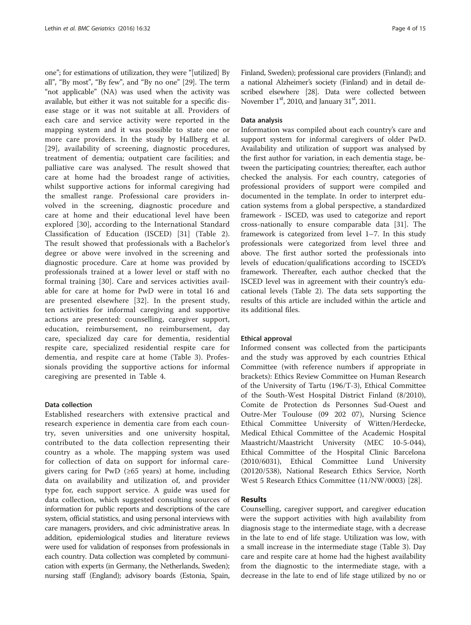one"; for estimations of utilization, they were "[utilized] By all", "By most", "By few", and "By no one" [[29\]](#page-13-0). The term "not applicable" (NA) was used when the activity was available, but either it was not suitable for a specific disease stage or it was not suitable at all. Providers of each care and service activity were reported in the mapping system and it was possible to state one or more care providers. In the study by Hallberg et al. [[29\]](#page-13-0), availability of screening, diagnostic procedures, treatment of dementia; outpatient care facilities; and palliative care was analysed. The result showed that care at home had the broadest range of activities, whilst supportive actions for informal caregiving had the smallest range. Professional care providers involved in the screening, diagnostic procedure and care at home and their educational level have been explored [\[30](#page-13-0)], according to the International Standard Classification of Education (ISCED) [\[31](#page-13-0)] (Table [2](#page-4-0)). The result showed that professionals with a Bachelor's degree or above were involved in the screening and diagnostic procedure. Care at home was provided by professionals trained at a lower level or staff with no formal training [\[30](#page-13-0)]. Care and services activities available for care at home for PwD were in total 16 and are presented elsewhere [[32\]](#page-13-0). In the present study, ten activities for informal caregiving and supportive actions are presented: counselling, caregiver support, education, reimbursement, no reimbursement, day care, specialized day care for dementia, residential respite care, specialized residential respite care for dementia, and respite care at home (Table [3](#page-6-0)). Professionals providing the supportive actions for informal caregiving are presented in Table [4](#page-8-0).

### Data collection

Established researchers with extensive practical and research experience in dementia care from each country, seven universities and one university hospital, contributed to the data collection representing their country as a whole. The mapping system was used for collection of data on support for informal caregivers caring for PwD ( $\geq 65$  years) at home, including data on availability and utilization of, and provider type for, each support service. A guide was used for data collection, which suggested consulting sources of information for public reports and descriptions of the care system, official statistics, and using personal interviews with care managers, providers, and civic administrative areas. In addition, epidemiological studies and literature reviews were used for validation of responses from professionals in each country. Data collection was completed by communication with experts (in Germany, the Netherlands, Sweden); nursing staff (England); advisory boards (Estonia, Spain,

Finland, Sweden); professional care providers (Finland); and a national Alzheimer's society (Finland) and in detail described elsewhere [\[28](#page-13-0)]. Data were collected between November  $1<sup>st</sup>$ , 2010, and January 31 $<sup>st</sup>$ , 2011.</sup>

### Data analysis

Information was compiled about each country's care and support system for informal caregivers of older PwD. Availability and utilization of support was analysed by the first author for variation, in each dementia stage, between the participating countries; thereafter, each author checked the analysis. For each country, categories of professional providers of support were compiled and documented in the template. In order to interpret education systems from a global perspective, a standardized framework - ISCED, was used to categorize and report cross-nationally to ensure comparable data [\[31](#page-13-0)]. The framework is categorized from level 1–7. In this study professionals were categorized from level three and above. The first author sorted the professionals into levels of education/qualifications according to ISCED's framework. Thereafter, each author checked that the ISCED level was in agreement with their country's educational levels (Table [2\)](#page-4-0). The data sets supporting the results of this article are included within the article and its additional files.

### Ethical approval

Informed consent was collected from the participants and the study was approved by each countries Ethical Committee (with reference numbers if appropriate in brackets): Ethics Review Committee on Human Research of the University of Tartu (196/T-3), Ethical Committee of the South-West Hospital District Finland (8/2010), Comite de Protection ds Personnes Sud-Ouest and Outre-Mer Toulouse (09 202 07), Nursing Science Ethical Committee University of Witten/Herdecke, Medical Ethical Committee of the Academic Hospital Maastricht/Maastricht University (MEC 10-5-044), Ethical Committee of the Hospital Clinic Barcelona (2010/6031), Ethical Committee Lund University (20120/538), National Research Ethics Service, North West 5 Research Ethics Committee (11/NW/0003) [\[28\]](#page-13-0).

### Results

Counselling, caregiver support, and caregiver education were the support activities with high availability from diagnosis stage to the intermediate stage, with a decrease in the late to end of life stage. Utilization was low, with a small increase in the intermediate stage (Table [3\)](#page-6-0). Day care and respite care at home had the highest availability from the diagnostic to the intermediate stage, with a decrease in the late to end of life stage utilized by no or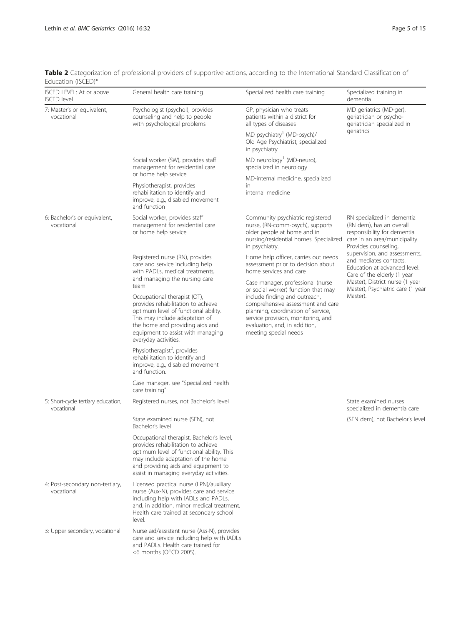<span id="page-4-0"></span>Table 2 Categorization of professional providers of supportive actions, according to the International Standard Classification of Education (ISCED)\*

| LUUCULIUI (IJCLD)                                |                                                                                                                                                                                                                                                      |                                                                                                                                                                                                          |                                                                                                                                                                                                                                                                                                                                                              |  |  |
|--------------------------------------------------|------------------------------------------------------------------------------------------------------------------------------------------------------------------------------------------------------------------------------------------------------|----------------------------------------------------------------------------------------------------------------------------------------------------------------------------------------------------------|--------------------------------------------------------------------------------------------------------------------------------------------------------------------------------------------------------------------------------------------------------------------------------------------------------------------------------------------------------------|--|--|
| ISCED LEVEL: At or above<br><b>ISCED</b> level   | General health care training                                                                                                                                                                                                                         | Specialized health care training                                                                                                                                                                         | Specialized training in<br>dementia                                                                                                                                                                                                                                                                                                                          |  |  |
| 7: Master's or equivalent,<br>vocational         | Psychologist (psychol), provides<br>counseling and help to people<br>with psychological problems                                                                                                                                                     | GP, physician who treats<br>patients within a district for<br>all types of diseases                                                                                                                      | MD geriatrics (MD-ger),<br>geriatrician or psycho-<br>geriatrician specialized in<br>geriatrics                                                                                                                                                                                                                                                              |  |  |
|                                                  |                                                                                                                                                                                                                                                      | MD psychiatry <sup>1</sup> (MD-psych)/<br>Old Age Psychiatrist, specialized<br>in psychiatry                                                                                                             |                                                                                                                                                                                                                                                                                                                                                              |  |  |
|                                                  | Social worker (SW), provides staff<br>management for residential care                                                                                                                                                                                | MD neurology <sup>1</sup> (MD-neuro),<br>specialized in neurology                                                                                                                                        |                                                                                                                                                                                                                                                                                                                                                              |  |  |
|                                                  | or home help service<br>Physiotherapist, provides<br>rehabilitation to identify and<br>improve, e.g., disabled movement<br>and function                                                                                                              | MD-internal medicine, specialized<br>in.<br>internal medicine                                                                                                                                            |                                                                                                                                                                                                                                                                                                                                                              |  |  |
| 6: Bachelor's or equivalent,<br>vocational       | Social worker, provides staff<br>management for residential care<br>or home help service                                                                                                                                                             | Community psychiatric registered<br>nurse, (RN-comm-psych), supports<br>older people at home and in<br>nursing/residential homes. Specialized<br>in psychiatry.                                          | RN specialized in dementia<br>(RN dem), has an overall<br>responsibility for dementia<br>care in an area/municipality.<br>Provides counseling,<br>supervision, and assessments,<br>and mediates contacts.<br>Education at advanced level:<br>Care of the elderly (1 year<br>Master), District nurse (1 year<br>Master), Psychiatric care (1 year<br>Master). |  |  |
|                                                  | Registered nurse (RN), provides<br>care and service including help<br>with PADLs, medical treatments,                                                                                                                                                | Home help officer, carries out needs<br>assessment prior to decision about<br>home services and care                                                                                                     |                                                                                                                                                                                                                                                                                                                                                              |  |  |
|                                                  | and managing the nursing care<br>team                                                                                                                                                                                                                | Case manager, professional (nurse<br>or social worker) function that may                                                                                                                                 |                                                                                                                                                                                                                                                                                                                                                              |  |  |
|                                                  | Occupational therapist (OT),<br>provides rehabilitation to achieve<br>optimum level of functional ability.<br>This may include adaptation of<br>the home and providing aids and<br>equipment to assist with managing<br>everyday activities.         | include finding and outreach,<br>comprehensive assessment and care<br>planning, coordination of service,<br>service provision, monitoring, and<br>evaluation, and, in addition,<br>meeting special needs |                                                                                                                                                                                                                                                                                                                                                              |  |  |
|                                                  | Physiotherapist <sup>2</sup> , provides<br>rehabilitation to identify and<br>improve, e.g., disabled movement<br>and function.                                                                                                                       |                                                                                                                                                                                                          |                                                                                                                                                                                                                                                                                                                                                              |  |  |
|                                                  | Case manager, see "Specialized health<br>care training"                                                                                                                                                                                              |                                                                                                                                                                                                          |                                                                                                                                                                                                                                                                                                                                                              |  |  |
| 5: Short-cycle tertiary education,<br>vocational | Registered nurses, not Bachelor's level                                                                                                                                                                                                              |                                                                                                                                                                                                          | State examined nurses<br>specialized in dementia care                                                                                                                                                                                                                                                                                                        |  |  |
|                                                  | State examined nurse (SEN), not<br>Bachelor's level                                                                                                                                                                                                  |                                                                                                                                                                                                          | (SEN dem), not Bachelor's level                                                                                                                                                                                                                                                                                                                              |  |  |
|                                                  | Occupational therapist, Bachelor's level,<br>provides rehabilitation to achieve<br>optimum level of functional ability. This<br>may include adaptation of the home<br>and providing aids and equipment to<br>assist in managing everyday activities. |                                                                                                                                                                                                          |                                                                                                                                                                                                                                                                                                                                                              |  |  |
| 4: Post-secondary non-tertiary,<br>vocational    | Licensed practical nurse (LPN)/auxiliary<br>nurse (Aux-N), provides care and service<br>including help with IADLs and PADLs,<br>and, in addition, minor medical treatment.<br>Health care trained at secondary school<br>level.                      |                                                                                                                                                                                                          |                                                                                                                                                                                                                                                                                                                                                              |  |  |
| 3: Upper secondary, vocational                   | Nurse aid/assistant nurse (Ass-N), provides<br>care and service including help with IADLs<br>and PADLs. Health care trained for<br><6 months (OECD 2005).                                                                                            |                                                                                                                                                                                                          |                                                                                                                                                                                                                                                                                                                                                              |  |  |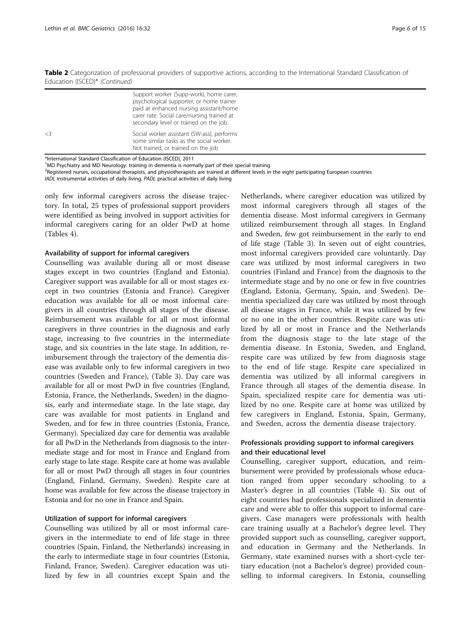Table 2 Categorization of professional providers of supportive actions, according to the International Standard Classification of Education (ISCED)\* (Continued)

|          | Support worker (Supp-work), home carer,<br>psychological supporter, or home trainer<br>paid at enhanced nursing assistant/home<br>carer rate. Social care/nursing trained at<br>secondary level or trained on the job. |  |
|----------|------------------------------------------------------------------------------------------------------------------------------------------------------------------------------------------------------------------------|--|
| $\leq$ 3 | Social worker assistant (SW-ass), performs<br>some similar tasks as the social worker.<br>Not trained, or trained on the job                                                                                           |  |

\*International Standard Classification of Education (ISCED), 2011

<sup>1</sup>MD Psychiatry and MD Neurology: training in dementia is normally part of their special training

<sup>2</sup> Registered nurses, occupational therapists, and physiotherapists are trained at different levels in the eight participating European countries

IADL instrumental activities of daily living, PADL practical activities of daily living

only few informal caregivers across the disease trajectory. In total, 25 types of professional support providers were identified as being involved in support activities for informal caregivers caring for an older PwD at home (Tables [4\)](#page-8-0).

### Availability of support for informal caregivers

Counselling was available during all or most disease stages except in two countries (England and Estonia). Caregiver support was available for all or most stages except in two countries (Estonia and France). Caregiver education was available for all or most informal caregivers in all countries through all stages of the disease. Reimbursement was available for all or most informal caregivers in three countries in the diagnosis and early stage, increasing to five countries in the intermediate stage, and six countries in the late stage. In addition, reimbursement through the trajectory of the dementia disease was available only to few informal caregivers in two countries (Sweden and France), (Table [3\)](#page-6-0). Day care was available for all or most PwD in five countries (England, Estonia, France, the Netherlands, Sweden) in the diagnosis, early and intermediate stage. In the late stage, day care was available for most patients in England and Sweden, and for few in three countries (Estonia, France, Germany). Specialized day care for dementia was available for all PwD in the Netherlands from diagnosis to the intermediate stage and for most in France and England from early stage to late stage. Respite care at home was available for all or most PwD through all stages in four countries (England, Finland, Germany, Sweden). Respite care at home was available for few across the disease trajectory in Estonia and for no one in France and Spain.

### Utilization of support for informal caregivers

Counselling was utilized by all or most informal caregivers in the intermediate to end of life stage in three countries (Spain, Finland, the Netherlands) increasing in the early to intermediate stage in four countries (Estonia, Finland, France, Sweden). Caregiver education was utilized by few in all countries except Spain and the Netherlands, where caregiver education was utilized by most informal caregivers through all stages of the dementia disease. Most informal caregivers in Germany utilized reimbursement through all stages. In England and Sweden, few got reimbursement in the early to end of life stage (Table [3\)](#page-6-0). In seven out of eight countries, most informal caregivers provided care voluntarily. Day care was utilized by most informal caregivers in two countries (Finland and France) from the diagnosis to the intermediate stage and by no one or few in five countries (England, Estonia, Germany, Spain, and Sweden). Dementia specialized day care was utilized by most through all disease stages in France, while it was utilized by few or no one in the other countries. Respite care was utilized by all or most in France and the Netherlands from the diagnosis stage to the late stage of the dementia disease. In Estonia, Sweden, and England, respite care was utilized by few from diagnosis stage to the end of life stage. Respite care specialized in dementia was utilized by all informal caregivers in France through all stages of the dementia disease. In Spain, specialized respite care for dementia was utilized by no one. Respite care at home was utilized by few caregivers in England, Estonia, Spain, Germany, and Sweden, across the dementia disease trajectory.

### Professionals providing support to informal caregivers and their educational level

Counselling, caregiver support, education, and reimbursement were provided by professionals whose education ranged from upper secondary schooling to a Master's degree in all countries (Table [4](#page-8-0)). Six out of eight countries had professionals specialized in dementia care and were able to offer this support to informal caregivers. Case managers were professionals with health care training usually at a Bachelor's degree level. They provided support such as counselling, caregiver support, and education in Germany and the Netherlands. In Germany, state examined nurses with a short-cycle tertiary education (not a Bachelor's degree) provided counselling to informal caregivers. In Estonia, counselling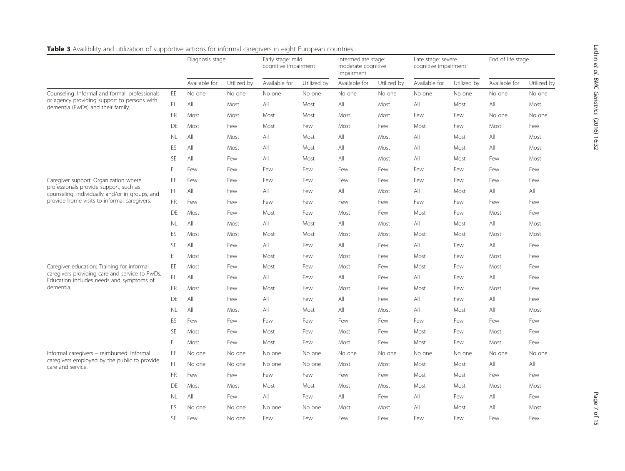| . .                                                                                        |           | Diagnosis stage |             | Early stage: mild<br>cognitive impairment |             | Intermediate stage:<br>moderate cognitive<br>impairment |             | Late stage: severe<br>cognitive impairment |             | End of life stage |             |
|--------------------------------------------------------------------------------------------|-----------|-----------------|-------------|-------------------------------------------|-------------|---------------------------------------------------------|-------------|--------------------------------------------|-------------|-------------------|-------------|
|                                                                                            |           | Available for   | Utilized by | Available for                             | Utilized by | Available for                                           | Utilized by | Available for                              | Utilized by | Available for     | Utilized by |
| Counseling: Informal and formal, professionals                                             | EE        | No one          | No one      | No one                                    | No one      | No one                                                  | No one      | No one                                     | No one      | No one            | No one      |
| or agency providing support to persons with<br>dementia (PwDs) and their family.           | FI        | All             | Most        | All                                       | Most        | All                                                     | Most        | All                                        | Most        | All               | Most        |
|                                                                                            | <b>FR</b> | Most            | Most        | Most                                      | Most        | Most                                                    | Most        | Few                                        | Few         | No one            | No one      |
|                                                                                            | DE        | Most            | Few         | Most                                      | Few         | Most                                                    | Few         | Most                                       | Few         | Most              | Few         |
|                                                                                            | <b>NL</b> | All             | Most        | All                                       | Most        | All                                                     | Most        | All                                        | Most        | All               | Most        |
|                                                                                            | ES        | All             | Most        | All                                       | Most        | All                                                     | Most        | All                                        | Most        | All               | Most        |
|                                                                                            | <b>SE</b> | All             | Few         | All                                       | Most        | All                                                     | Most        | All                                        | Most        | Few               | Most        |
|                                                                                            | E         | Few             | Few         | Few                                       | Few         | Few                                                     | Few         | Few                                        | Few         | Few               | Few         |
| Caregiver support: Organization where                                                      | EE        | Few             | Few         | Few                                       | Few         | Few                                                     | Few         | Few                                        | Few         | Few               | Few         |
| professionals provide support, such as<br>counseling, individually and/or in groups, and   | FI        | All             | Few         | All                                       | Few         | All                                                     | Most        | All                                        | Most        | All               | All         |
| provide home visits to informal caregivers.                                                | <b>FR</b> | Few             | Few         | Few                                       | Few         | Few                                                     | Few         | Few                                        | Few         | Few               | Few         |
|                                                                                            | DE        | Most            | Few         | Most                                      | Few         | Most                                                    | Few         | Most                                       | Few         | Most              | Few         |
|                                                                                            | NL        | All             | Most        | All                                       | Most        | All                                                     | Most        | All                                        | Most        | All               | Most        |
|                                                                                            | ES        | Most            | Most        | Most                                      | Most        | Most                                                    | Most        | Most                                       | Most        | Most              | Most        |
|                                                                                            | <b>SE</b> | All             | Few         | All                                       | Few         | All                                                     | Few         | All                                        | Few         | All               | Few         |
|                                                                                            | E         | Most            | Few         | Most                                      | Few         | Most                                                    | Few         | Most                                       | Few         | Most              | Few         |
| Caregiver education: Training for informal                                                 | EE        | Most            | Few         | Most                                      | Few         | Most                                                    | Few         | Most                                       | Few         | Most              | Few         |
| caregivers providing care and service to PwDs.<br>Education includes needs and symptoms of | FI        | All             | Few         | All                                       | Few         | All                                                     | Few         | All                                        | Few         | All               | Few         |
| dementia.                                                                                  | <b>FR</b> | Most            | Few         | Most                                      | Few         | Most                                                    | Few         | Most                                       | Few         | Most              | Few         |
|                                                                                            | DE        | All             | Few         | All                                       | Few         | All                                                     | Few         | All                                        | Few         | All               | Few         |
|                                                                                            | <b>NL</b> | All             | Most        | All                                       | Most        | All                                                     | Most        | All                                        | Most        | All               | Most        |
|                                                                                            | ES        | Few             | Few         | Few                                       | Few         | Few                                                     | Few         | Few                                        | Few         | Few               | Few         |
|                                                                                            | <b>SE</b> | Most            | Few         | Most                                      | Few         | Most                                                    | Few         | Most                                       | Few         | Most              | Few         |
|                                                                                            | E         | Most            | Few         | Most                                      | Few         | Most                                                    | Few         | Most                                       | Few         | Most              | Few         |
| Informal caregivers - reimbursed: Informal                                                 | EE        | No one          | No one      | No one                                    | No one      | No one                                                  | No one      | No one                                     | No one      | No one            | No one      |
| caregivers employed by the public to provide<br>care and service.                          | FI        | No one          | No one      | No one                                    | No one      | Most                                                    | Most        | Most                                       | Most        | All               | All         |
|                                                                                            | <b>FR</b> | Few             | Few         | Few                                       | Few         | Few                                                     | Few         | Most                                       | Most        | Few               | Few         |
|                                                                                            | DE        | Most            | Most        | Most                                      | Most        | Most                                                    | Most        | Most                                       | Most        | Most              | Most        |
|                                                                                            | <b>NL</b> | All             | Few         | All                                       | Few         | All                                                     | Few         | All                                        | Few         | All               | Few         |
|                                                                                            | ES        | No one          | No one      | No one                                    | No one      | Most                                                    | Most        | All                                        | Most        | All               | Most        |
|                                                                                            | <b>SE</b> | Few             | No one      | Few                                       | Few         | Few                                                     | Few         | Few                                        | Few         | Few               | Few         |

### <span id="page-6-0"></span>Table 3 Availibility and utilization of supportive actions for informal caregivers in eight European countries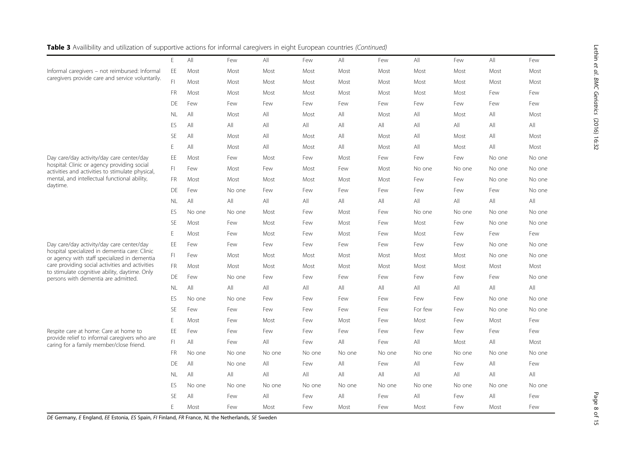| Table 3 Availibility and utilization of supportive actions for informal caregivers in eight European countries (Continued) |  |  |
|----------------------------------------------------------------------------------------------------------------------------|--|--|
|----------------------------------------------------------------------------------------------------------------------------|--|--|

|                                                                                                    | E              | All    | Few    | All    | Few    | All    | Few    | All     | Few    | All    | Few    |
|----------------------------------------------------------------------------------------------------|----------------|--------|--------|--------|--------|--------|--------|---------|--------|--------|--------|
| Informal caregivers - not reimbursed: Informal<br>caregivers provide care and service voluntarily. | EE             | Most   | Most   | Most   | Most   | Most   | Most   | Most    | Most   | Most   | Most   |
|                                                                                                    | F1             | Most   | Most   | Most   | Most   | Most   | Most   | Most    | Most   | Most   | Most   |
|                                                                                                    | <b>FR</b>      | Most   | Most   | Most   | Most   | Most   | Most   | Most    | Most   | Few    | Few    |
|                                                                                                    | DE             | Few    | Few    | Few    | Few    | Few    | Few    | Few     | Few    | Few    | Few    |
|                                                                                                    | <b>NL</b>      | All    | Most   | All    | Most   | All    | Most   | All     | Most   | All    | Most   |
|                                                                                                    | ES             | All    | All    | All    | All    | All    | All    | All     | All    | All    | All    |
|                                                                                                    | <b>SE</b>      | All    | Most   | All    | Most   | All    | Most   | All     | Most   | All    | Most   |
|                                                                                                    | E              | All    | Most   | All    | Most   | All    | Most   | All     | Most   | All    | Most   |
| Day care/day activity/day care center/day                                                          | EE             | Most   | Few    | Most   | Few    | Most   | Few    | Few     | Few    | No one | No one |
| hospital: Clinic or agency providing social<br>activities and activities to stimulate physical,    | F <sub>1</sub> | Few    | Most   | Few    | Most   | Few    | Most   | No one  | No one | No one | No one |
| mental, and intellectual functional ability,                                                       | <b>FR</b>      | Most   | Most   | Most   | Most   | Most   | Most   | Few     | Few    | No one | No one |
| daytime.                                                                                           | DE             | Few    | No one | Few    | Few    | Few    | Few    | Few     | Few    | Few    | No one |
|                                                                                                    | <b>NL</b>      | All    | All    | All    | All    | All    | All    | All     | All    | All    | All    |
|                                                                                                    | ES             | No one | No one | Most   | Few    | Most   | Few    | No one  | No one | No one | No one |
|                                                                                                    | <b>SE</b>      | Most   | Few    | Most   | Few    | Most   | Few    | Most    | Few    | No one | No one |
|                                                                                                    | $\mathsf E$    | Most   | Few    | Most   | Few    | Most   | Few    | Most    | Few    | Few    | Few    |
| Day care/day activity/day care center/day                                                          | EE             | Few    | Few    | Few    | Few    | Few    | Few    | Few     | Few    | No one | No one |
| hospital specialized in dementia care: Clinic<br>or agency with staff specialized in dementia      | FL.            | Few    | Most   | Most   | Most   | Most   | Most   | Most    | Most   | No one | No one |
| care providing social activities and activities                                                    | <b>FR</b>      | Most   | Most   | Most   | Most   | Most   | Most   | Most    | Most   | Most   | Most   |
| to stimulate cognitive ability, daytime. Only<br>persons with dementia are admitted.               | DE             | Few    | No one | Few    | Few    | Few    | Few    | Few     | Few    | Few    | No one |
|                                                                                                    | <b>NL</b>      | All    | All    | All    | All    | All    | All    | All     | All    | All    | All    |
|                                                                                                    | ES             | No one | No one | Few    | Few    | Few    | Few    | Few     | Few    | No one | No one |
|                                                                                                    | <b>SE</b>      | Few    | Few    | Few    | Few    | Few    | Few    | For few | Few    | No one | No one |
|                                                                                                    | $\mathsf E$    | Most   | Few    | Most   | Few    | Most   | Few    | Most    | Few    | Most   | Few    |
| Respite care at home: Care at home to                                                              | EE             | Few    | Few    | Few    | Few    | Few    | Few    | Few     | Few    | Few    | Few    |
| provide relief to informal caregivers who are<br>caring for a family member/close friend.          | F1             | All    | Few    | All    | Few    | All    | Few    | All     | Most   | All    | Most   |
|                                                                                                    | <b>FR</b>      | No one | No one | No one | No one | No one | No one | No one  | No one | No one | No one |
|                                                                                                    | DE             | All    | No one | All    | Few    | All    | Few    | All     | Few    | All    | Few    |
|                                                                                                    | <b>NL</b>      | All    | All    | All    | All    | All    | All    | All     | All    | All    | All    |
|                                                                                                    | ES             | No one | No one | No one | No one | No one | No one | No one  | No one | No one | No one |
|                                                                                                    | SE             | All    | Few    | All    | Few    | All    | Few    | All     | Few    | All    | Few    |
|                                                                                                    | E              | Most   | Few    | Most   | Few    | Most   | Few    | Most    | Few    | Most   | Few    |

DE Germany, E England, EE Estonia, ES Spain, FI Finland, FR France, NL the Netherlands, SE Sweden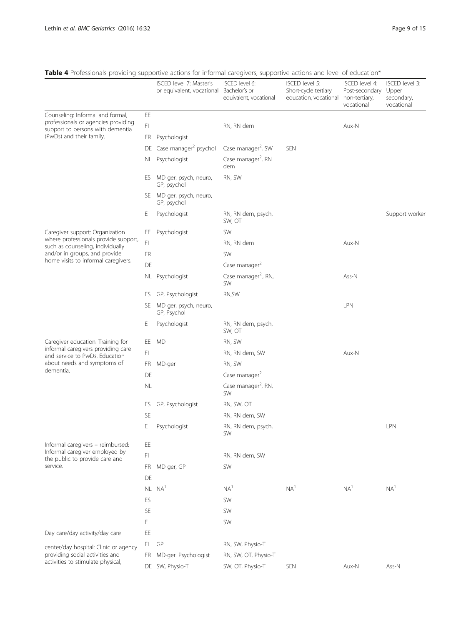|                                                                          |                         | ISCED level 7: Master's<br>or equivalent, vocational Bachelor's or | ISCED level 6:<br>equivalent, vocational | ISCED level 5:<br>Short-cycle tertiary<br>education, vocational non-tertiary, | ISCED level 4:<br>Post-secondary<br>vocational | ISCED level 3:<br>Upper<br>secondary,<br>vocational |
|--------------------------------------------------------------------------|-------------------------|--------------------------------------------------------------------|------------------------------------------|-------------------------------------------------------------------------------|------------------------------------------------|-----------------------------------------------------|
| Counseling: Informal and formal,                                         | EE                      |                                                                    |                                          |                                                                               |                                                |                                                     |
| professionals or agencies providing<br>support to persons with dementia  | FI                      |                                                                    | RN, RN dem                               |                                                                               | Aux-N                                          |                                                     |
| (PwDs) and their family.                                                 | FR                      | Psychologist                                                       |                                          |                                                                               |                                                |                                                     |
|                                                                          | DE.                     | Case manager psychol                                               | Case manager <sup>2</sup> , SW           | <b>SEN</b>                                                                    |                                                |                                                     |
|                                                                          |                         | NL Psychologist                                                    | Case manager <sup>2</sup> , RN<br>dem    |                                                                               |                                                |                                                     |
|                                                                          |                         | ES MD ger, psych, neuro,<br>GP, psychol                            | RN, SW                                   |                                                                               |                                                |                                                     |
|                                                                          |                         | SE MD ger, psych, neuro,<br>GP, psychol                            |                                          |                                                                               |                                                |                                                     |
|                                                                          | E                       | Psychologist                                                       | RN, RN dem, psych,<br>SW, OT             |                                                                               |                                                | Support worker                                      |
| Caregiver support: Organization                                          | EE.                     | Psychologist                                                       | SW                                       |                                                                               |                                                |                                                     |
| where professionals provide support,<br>such as counseling, individually | FI                      |                                                                    | RN, RN dem                               |                                                                               | Aux-N                                          |                                                     |
| and/or in groups, and provide                                            | FR                      |                                                                    | SW                                       |                                                                               |                                                |                                                     |
| home visits to informal caregivers.                                      | DE                      |                                                                    | Case manager <sup>2</sup>                |                                                                               |                                                |                                                     |
|                                                                          |                         | NL Psychologist                                                    | Case manager <sup>2</sup> , RN,<br>SW    |                                                                               | Ass-N                                          |                                                     |
|                                                                          | ES                      | GP, Psychologist                                                   | RN, SW                                   |                                                                               |                                                |                                                     |
|                                                                          |                         | SE MD ger, psych, neuro,<br>GP, Psychol                            |                                          |                                                                               | LPN                                            |                                                     |
|                                                                          | E                       | Psychologist                                                       | RN, RN dem, psych,<br>SW, OT             |                                                                               |                                                |                                                     |
| Caregiver education: Training for                                        | EE.                     | MD                                                                 | RN, SW                                   |                                                                               |                                                |                                                     |
| informal caregivers providing care<br>and service to PwDs. Education     | FI.                     |                                                                    | RN, RN dem, SW                           |                                                                               | Aux-N                                          |                                                     |
| about needs and symptoms of                                              | FR                      | MD-ger                                                             | RN, SW                                   |                                                                               |                                                |                                                     |
| dementia.                                                                | DE                      |                                                                    | Case manager <sup>2</sup>                |                                                                               |                                                |                                                     |
|                                                                          | <b>NL</b>               |                                                                    | Case manager <sup>2</sup> , RN,<br>SW    |                                                                               |                                                |                                                     |
|                                                                          | ES.                     | GP, Psychologist                                                   | RN, SW, OT                               |                                                                               |                                                |                                                     |
|                                                                          | SE                      |                                                                    | RN, RN dem, SW                           |                                                                               |                                                |                                                     |
|                                                                          | Е                       | Psychologist                                                       | RN, RN dem, psych,<br>SW                 |                                                                               |                                                | LPN                                                 |
| Informal caregivers - reimbursed:                                        | EE                      |                                                                    |                                          |                                                                               |                                                |                                                     |
| Informal caregiver employed by<br>the public to provide care and         | $\mathsf{F} \mathsf{I}$ |                                                                    | RN, RN dem, SW                           |                                                                               |                                                |                                                     |
| service.                                                                 | FR                      | MD ger, GP                                                         | SW                                       |                                                                               |                                                |                                                     |
|                                                                          | DE                      |                                                                    |                                          |                                                                               |                                                |                                                     |
|                                                                          |                         | $NL$ $NA1$                                                         | NA <sup>1</sup>                          | NA <sup>1</sup>                                                               | NA <sup>1</sup>                                | NA <sup>1</sup>                                     |
|                                                                          | ES                      |                                                                    | SW                                       |                                                                               |                                                |                                                     |
|                                                                          | SE                      |                                                                    | SW                                       |                                                                               |                                                |                                                     |
|                                                                          | E                       |                                                                    | SW                                       |                                                                               |                                                |                                                     |
| Day care/day activity/day care                                           | EE                      |                                                                    |                                          |                                                                               |                                                |                                                     |
| center/day hospital: Clinic or agency                                    | FI.                     | GP                                                                 | RN, SW, Physio-T                         |                                                                               |                                                |                                                     |
| providing social activities and                                          | FR.                     | MD-ger. Psychologist                                               | RN, SW, OT, Physio-T                     |                                                                               |                                                |                                                     |
| activities to stimulate physical,                                        |                         | DE SW, Physio-T                                                    | SW, OT, Physio-T                         | SEN                                                                           | Aux-N                                          | Ass-N                                               |

# <span id="page-8-0"></span>Table 4 Professionals providing supportive actions for informal caregivers, supportive actions and level of education\*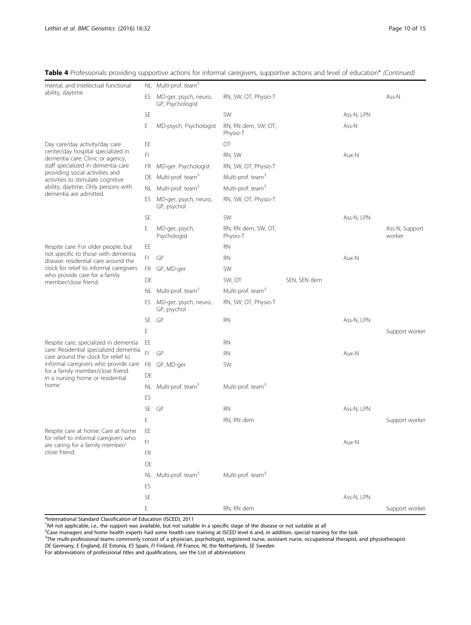| mental, and intellectual functional<br>ability, daytime                       |           | NL Multi-prof. team <sup>3</sup>             |                                 |              |            |                          |
|-------------------------------------------------------------------------------|-----------|----------------------------------------------|---------------------------------|--------------|------------|--------------------------|
|                                                                               |           | ES MD-ger, psych, neuro,<br>GP, Psychologist | RN, SW, OT, Physio-T            |              |            | Ass-N                    |
|                                                                               | SE        |                                              | SW                              |              | Ass-N, LPN |                          |
|                                                                               | E         | MD-psych, Psychologist                       | RN, RN dem, SW, OT,<br>Physio-T |              | Ass-N      |                          |
| Day care/day activity/day care                                                | EE        |                                              | OT                              |              |            |                          |
| center/day hospital specialized in<br>dementia care: Clinic or agency,        | FI        |                                              | RN, SW                          |              | Aux-N      |                          |
| staff specialized in dementia care                                            | FR        | MD-ger. Psychologist                         | RN, SW, OT, Physio-T            |              |            |                          |
| providing social activities and<br>activities to stimulate cognitive          | DE        | Multi-prof. team <sup>3</sup>                | Multi-prof. team <sup>3</sup>   |              |            |                          |
| ability, daytime. Only persons with                                           |           | NL Multi-prof. team <sup>3</sup>             | Multi-prof. team <sup>3</sup>   |              |            |                          |
| dementia are admitted.                                                        | ES.       | MD-ger, psych, neuro,<br>GP, psychol         | RN, SW, OT, Physio-T            |              |            |                          |
|                                                                               | SE        |                                              | SW                              |              | Ass-N, LPN |                          |
|                                                                               | E         | MD-ger, psych,<br>Psychologist               | RN, RN dem, SW, OT,<br>Physio-T |              |            | Ass-N, Support<br>worker |
| Respite care: For older people, but                                           | EE        |                                              | <b>RN</b>                       |              |            |                          |
| not specific to those with dementia<br>disease: residential care around the   | FI.       | GP                                           | <b>RN</b>                       |              | Aux-N      |                          |
| clock for relief to informal caregivers                                       |           | FR GP, MD-ger                                | SW                              |              |            |                          |
| who provide care for a family<br>member/close friend.                         | DE        |                                              | SW, OT                          | SEN, SEN dem |            |                          |
|                                                                               | NL.       | Multi-prof. team <sup>3</sup>                | Multi-prof. team <sup>3</sup>   |              |            |                          |
|                                                                               | ES.       | MD-ger, psych, neuro,<br>GP, psychol         | RN, SW, OT, Physio-T            |              |            |                          |
|                                                                               | SE        | GP                                           | <b>RN</b>                       |              | Ass-N, LPN |                          |
|                                                                               | E         |                                              |                                 |              |            | Support worker           |
| Respite care, specialized in dementia                                         | EE        |                                              | <b>RN</b>                       |              |            |                          |
| care: Residential specialized dementia<br>care around the clock for relief to | FI        | GP                                           | <b>RN</b>                       |              | Aux-N      |                          |
| informal caregivers who provide care                                          |           | FR GP, MD-ger                                | SW                              |              |            |                          |
| for a family member/close friend.<br>In a nursing home or residential         | DE        |                                              |                                 |              |            |                          |
| home.                                                                         |           | NL Multi-prof. team <sup>3</sup>             | Multi-prof. team <sup>3</sup>   |              |            |                          |
|                                                                               | ES        |                                              |                                 |              |            |                          |
|                                                                               | <b>SE</b> | GP                                           | <b>RN</b>                       |              | Ass-N, LPN |                          |
|                                                                               | E         |                                              | RN, RN dem                      |              |            | Support worker           |
| Respite care at home: Care at home                                            | EE        |                                              |                                 |              |            |                          |
| for relief to informal caregivers who<br>are caring for a family member/      | FI        |                                              |                                 |              | Aux-N      |                          |
| close friend.                                                                 | FR        |                                              |                                 |              |            |                          |
|                                                                               | DE        |                                              |                                 |              |            |                          |
|                                                                               |           | NL Multi-prof. team <sup>3</sup>             | Multi-prof. team <sup>3</sup>   |              |            |                          |
|                                                                               | ES        |                                              |                                 |              |            |                          |
|                                                                               | SE        |                                              |                                 |              | Ass-N, LPN |                          |
|                                                                               | E         |                                              | RN, RN dem                      |              |            | Support worker           |

Table 4 Professionals providing supportive actions for informal caregivers, supportive actions and level of education\* (Continued)

\*International Standard Classification of Education (ISCED), 2011

<sup>1</sup>MA not applicable, i.e., the support was available, but not suitable in a specific stage of the disease or not suitable at all<br><sup>2</sup>Case managers and bome health experts had some health care training at ISCED level 6 and

Case managers and home health experts had some health care training at ISCED level 6 and, in addition, special training for the task

<sup>3</sup>The multi-professional teams commonly consist of a physician, psychologist, registered nurse, assistant nurse, occupational therapist, and physiotherapist DE Germany, E England, EE Estonia, ES Spain, FI Finland, FR France, NL the Netherlands, SE Sweden

For abbreviations of professional titles and qualifications, see the List of abbreviations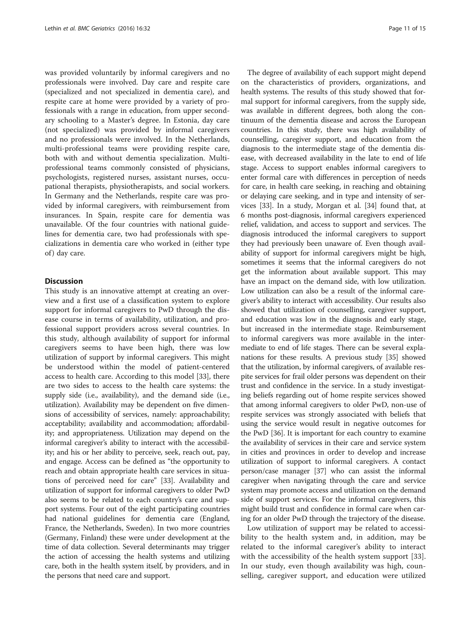was provided voluntarily by informal caregivers and no professionals were involved. Day care and respite care (specialized and not specialized in dementia care), and respite care at home were provided by a variety of professionals with a range in education, from upper secondary schooling to a Master's degree. In Estonia, day care (not specialized) was provided by informal caregivers and no professionals were involved. In the Netherlands, multi-professional teams were providing respite care, both with and without dementia specialization. Multiprofessional teams commonly consisted of physicians, psychologists, registered nurses, assistant nurses, occupational therapists, physiotherapists, and social workers. In Germany and the Netherlands, respite care was provided by informal caregivers, with reimbursement from insurances. In Spain, respite care for dementia was unavailable. Of the four countries with national guidelines for dementia care, two had professionals with specializations in dementia care who worked in (either type of) day care.

### **Discussion**

This study is an innovative attempt at creating an overview and a first use of a classification system to explore support for informal caregivers to PwD through the disease course in terms of availability, utilization, and professional support providers across several countries. In this study, although availability of support for informal caregivers seems to have been high, there was low utilization of support by informal caregivers. This might be understood within the model of patient-centered access to health care. According to this model [[33](#page-13-0)], there are two sides to access to the health care systems: the supply side (i.e., availability), and the demand side (i.e., utilization). Availability may be dependent on five dimensions of accessibility of services, namely: approachability; acceptability; availability and accommodation; affordability; and appropriateness. Utilization may depend on the informal caregiver's ability to interact with the accessibility; and his or her ability to perceive, seek, reach out, pay, and engage. Access can be defined as "the opportunity to reach and obtain appropriate health care services in situations of perceived need for care" [\[33](#page-13-0)]. Availability and utilization of support for informal caregivers to older PwD also seems to be related to each country's care and support systems. Four out of the eight participating countries had national guidelines for dementia care (England, France, the Netherlands, Sweden). In two more countries (Germany, Finland) these were under development at the time of data collection. Several determinants may trigger the action of accessing the health systems and utilizing care, both in the health system itself, by providers, and in the persons that need care and support.

The degree of availability of each support might depend on the characteristics of providers, organizations, and health systems. The results of this study showed that formal support for informal caregivers, from the supply side, was available in different degrees, both along the continuum of the dementia disease and across the European countries. In this study, there was high availability of counselling, caregiver support, and education from the diagnosis to the intermediate stage of the dementia disease, with decreased availability in the late to end of life stage. Access to support enables informal caregivers to enter formal care with differences in perception of needs for care, in health care seeking, in reaching and obtaining or delaying care seeking, and in type and intensity of services [\[33\]](#page-13-0). In a study, Morgan et al. [\[34\]](#page-13-0) found that, at 6 months post-diagnosis, informal caregivers experienced relief, validation, and access to support and services. The diagnosis introduced the informal caregivers to support they had previously been unaware of. Even though availability of support for informal caregivers might be high, sometimes it seems that the informal caregivers do not get the information about available support. This may have an impact on the demand side, with low utilization. Low utilization can also be a result of the informal caregiver's ability to interact with accessibility. Our results also showed that utilization of counselling, caregiver support, and education was low in the diagnosis and early stage, but increased in the intermediate stage. Reimbursement to informal caregivers was more available in the intermediate to end of life stages. There can be several explanations for these results. A previous study [\[35\]](#page-13-0) showed that the utilization, by informal caregivers, of available respite services for frail older persons was dependent on their trust and confidence in the service. In a study investigating beliefs regarding out of home respite services showed that among informal caregivers to older PwD, non-use of respite services was strongly associated with beliefs that using the service would result in negative outcomes for the PwD [[36](#page-13-0)]. It is important for each country to examine the availability of services in their care and service system in cities and provinces in order to develop and increase utilization of support to informal caregivers. A contact person/case manager [\[37\]](#page-13-0) who can assist the informal caregiver when navigating through the care and service system may promote access and utilization on the demand side of support services. For the informal caregivers, this might build trust and confidence in formal care when caring for an older PwD through the trajectory of the disease.

Low utilization of support may be related to accessibility to the health system and, in addition, may be related to the informal caregiver's ability to interact with the accessibility of the health system support [\[33](#page-13-0)]. In our study, even though availability was high, counselling, caregiver support, and education were utilized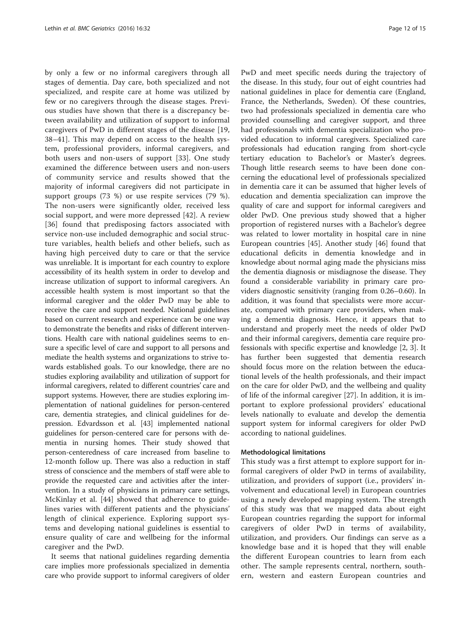by only a few or no informal caregivers through all stages of dementia. Day care, both specialized and not specialized, and respite care at home was utilized by few or no caregivers through the disease stages. Previous studies have shown that there is a discrepancy between availability and utilization of support to informal caregivers of PwD in different stages of the disease [\[19](#page-13-0), [38](#page-14-0)–[41\]](#page-14-0). This may depend on access to the health system, professional providers, informal caregivers, and both users and non-users of support [[33\]](#page-13-0). One study examined the difference between users and non-users of community service and results showed that the majority of informal caregivers did not participate in support groups (73 %) or use respite services (79 %). The non-users were significantly older, received less social support, and were more depressed [[42\]](#page-14-0). A review [[36\]](#page-13-0) found that predisposing factors associated with service non-use included demographic and social structure variables, health beliefs and other beliefs, such as having high perceived duty to care or that the service was unreliable. It is important for each country to explore accessibility of its health system in order to develop and increase utilization of support to informal caregivers. An accessible health system is most important so that the informal caregiver and the older PwD may be able to receive the care and support needed. National guidelines based on current research and experience can be one way to demonstrate the benefits and risks of different interventions. Health care with national guidelines seems to ensure a specific level of care and support to all persons and mediate the health systems and organizations to strive towards established goals. To our knowledge, there are no studies exploring availability and utilization of support for informal caregivers, related to different countries' care and support systems. However, there are studies exploring implementation of national guidelines for person-centered care, dementia strategies, and clinical guidelines for depression. Edvardsson et al. [[43](#page-14-0)] implemented national guidelines for person-centered care for persons with dementia in nursing homes. Their study showed that person-centeredness of care increased from baseline to 12-month follow up. There was also a reduction in staff stress of conscience and the members of staff were able to provide the requested care and activities after the intervention. In a study of physicians in primary care settings, McKinlay et al. [\[44](#page-14-0)] showed that adherence to guidelines varies with different patients and the physicians' length of clinical experience. Exploring support systems and developing national guidelines is essential to ensure quality of care and wellbeing for the informal caregiver and the PwD.

It seems that national guidelines regarding dementia care implies more professionals specialized in dementia care who provide support to informal caregivers of older

PwD and meet specific needs during the trajectory of the disease. In this study, four out of eight countries had national guidelines in place for dementia care (England, France, the Netherlands, Sweden). Of these countries, two had professionals specialized in dementia care who provided counselling and caregiver support, and three had professionals with dementia specialization who provided education to informal caregivers. Specialized care professionals had education ranging from short-cycle tertiary education to Bachelor's or Master's degrees. Though little research seems to have been done concerning the educational level of professionals specialized in dementia care it can be assumed that higher levels of education and dementia specialization can improve the quality of care and support for informal caregivers and older PwD. One previous study showed that a higher proportion of registered nurses with a Bachelor's degree was related to lower mortality in hospital care in nine European countries [\[45](#page-14-0)]. Another study [\[46\]](#page-14-0) found that educational deficits in dementia knowledge and in knowledge about normal aging made the physicians miss the dementia diagnosis or misdiagnose the disease. They found a considerable variability in primary care providers diagnostic sensitivity (ranging from 0.26–0.60). In addition, it was found that specialists were more accurate, compared with primary care providers, when making a dementia diagnosis. Hence, it appears that to understand and properly meet the needs of older PwD and their informal caregivers, dementia care require professionals with specific expertise and knowledge [[2](#page-13-0), [3\]](#page-13-0). It has further been suggested that dementia research should focus more on the relation between the educational levels of the health professionals, and their impact on the care for older PwD, and the wellbeing and quality of life of the informal caregiver [\[27\]](#page-13-0). In addition, it is important to explore professional providers' educational levels nationally to evaluate and develop the dementia support system for informal caregivers for older PwD according to national guidelines.

### Methodological limitations

This study was a first attempt to explore support for informal caregivers of older PwD in terms of availability, utilization, and providers of support (i.e., providers' involvement and educational level) in European countries using a newly developed mapping system. The strength of this study was that we mapped data about eight European countries regarding the support for informal caregivers of older PwD in terms of availability, utilization, and providers. Our findings can serve as a knowledge base and it is hoped that they will enable the different European countries to learn from each other. The sample represents central, northern, southern, western and eastern European countries and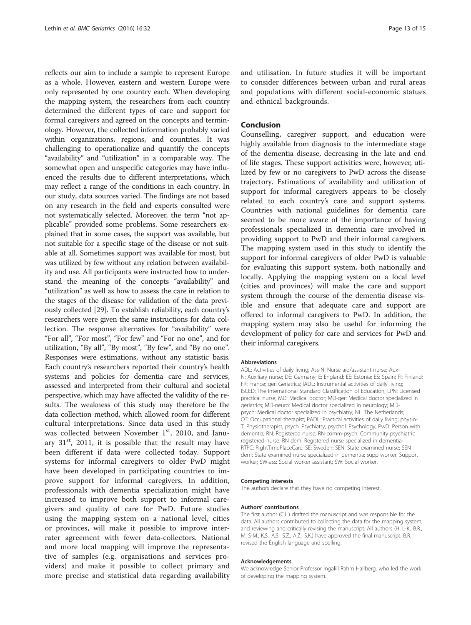reflects our aim to include a sample to represent Europe as a whole. However, eastern and western Europe were only represented by one country each. When developing the mapping system, the researchers from each country determined the different types of care and support for formal caregivers and agreed on the concepts and terminology. However, the collected information probably varied within organizations, regions, and countries. It was challenging to operationalize and quantify the concepts "availability" and "utilization" in a comparable way. The somewhat open and unspecific categories may have influenced the results due to different interpretations, which may reflect a range of the conditions in each country. In our study, data sources varied. The findings are not based on any research in the field and experts consulted were not systematically selected. Moreover, the term "not applicable" provided some problems. Some researchers explained that in some cases, the support was available, but not suitable for a specific stage of the disease or not suitable at all. Sometimes support was available for most, but was utilized by few without any relation between availability and use. All participants were instructed how to understand the meaning of the concepts "availability" and "utilization" as well as how to assess the care in relation to the stages of the disease for validation of the data previously collected [\[29\]](#page-13-0). To establish reliability, each country's researchers were given the same instructions for data collection. The response alternatives for "availability" were "For all", "For most", "For few" and "For no one", and for utilization, "By all", "By most", "By few", and "By no one". Responses were estimations, without any statistic basis. Each country's researchers reported their country's health systems and policies for dementia care and services, assessed and interpreted from their cultural and societal perspective, which may have affected the validity of the results. The weakness of this study may therefore be the data collection method, which allowed room for different cultural interpretations. Since data used in this study was collected between November 1<sup>st</sup>, 2010, and January  $31<sup>st</sup>$ , 2011, it is possible that the result may have been different if data were collected today. Support systems for informal caregivers to older PwD might have been developed in participating countries to improve support for informal caregivers. In addition, professionals with dementia specialization might have increased to improve both support to informal caregivers and quality of care for PwD. Future studies using the mapping system on a national level, cities or provinces, will make it possible to improve interrater agreement with fewer data-collectors. National and more local mapping will improve the representative of samples (e.g. organisations and services providers) and make it possible to collect primary and more precise and statistical data regarding availability

and utilisation. In future studies it will be important to consider differences between urban and rural areas and populations with different social-economic statues and ethnical backgrounds.

### Conclusion

Counselling, caregiver support, and education were highly available from diagnosis to the intermediate stage of the dementia disease, decreasing in the late and end of life stages. These support activities were, however, utilized by few or no caregivers to PwD across the disease trajectory. Estimations of availability and utilization of support for informal caregivers appears to be closely related to each country's care and support systems. Countries with national guidelines for dementia care seemed to be more aware of the importance of having professionals specialized in dementia care involved in providing support to PwD and their informal caregivers. The mapping system used in this study to identify the support for informal caregivers of older PwD is valuable for evaluating this support system, both nationally and locally. Applying the mapping system on a local level (cities and provinces) will make the care and support system through the course of the dementia disease visible and ensure that adequate care and support are offered to informal caregivers to PwD. In addition, the mapping system may also be useful for informing the development of policy for care and services for PwD and their informal caregivers.

#### Abbreviations

ADL: Activities of daily living; Ass-N: Nurse aid/assistant nurse; Aux-N: Auxiliary nurse; DE: Germany; E: England; EE: Estonia; ES: Spain; FI: Finland; FR: France; ger: Geriatrics; IADL: Instrumental activities of daily living; ISCED: The International Standard Classification of Education; LPN: Licensed practical nurse; MD: Medical doctor; MD-ger: Medical doctor specialized in geriatrics; MD-neuro: Medical doctor specialized in neurology; MDpsych: Medical doctor specialized in psychiatry; NL: The Netherlands; OT: Occupational therapist; PADL: Practical activities of daily living; physio-T: Physiotherapist; psych: Psychiatry; psychol: Psychology; PwD: Person with dementia; RN: Registered nurse; RN-comm-psych: Community psychiatric registered nurse; RN dem: Registered nurse specialized in dementia; RTPC: RightTimePlaceCare; SE: Sweden; SEN: State examined nurse; SEN dem: State examined nurse specialized in dementia; supp worker: Support worker; SW-ass: Social worker assistant; SW: Social worker.

### Competing interests

The authors declare that they have no competing interest.

#### Authors' contributions

The first author (C.L.) drafted the manuscript and was responsible for the data. All authors contributed to collecting the data for the mapping system, and reviewing and critically revising the manuscript. All authors (H. L-K., B.R., M. S-M., K.S., A.S., S.Z., A.Z., S.K.) have approved the final manuscript. B.R. revised the English language and spelling.

#### Acknowledgements

We acknowledge Senior Professor Ingalill Rahm Hallberg, who led the work of developing the mapping system.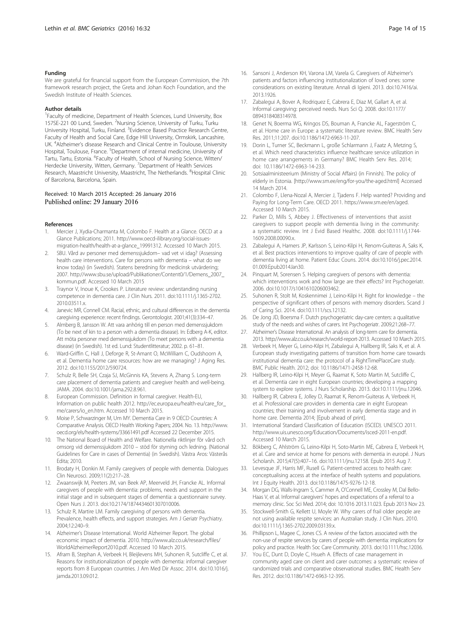### <span id="page-13-0"></span>Funding

We are grateful for financial support from the European Commission, the 7th framework research project, the Greta and Johan Koch Foundation, and the Swedish Institute of Health Sciences.

### Author details

<sup>1</sup> Faculty of medicine, Department of Health Sciences, Lund University, Box 157SE-221 00 Lund, Sweden. <sup>2</sup>Nursing Science, University of Turku, Turku University Hospital, Turku, Finland. <sup>3</sup>Evidence Based Practice Research Centre, Faculty of Health and Social Care, Edge Hill University, Ormskirk, Lancashire, UK. <sup>4</sup> Alzheimer's disease Research and Clinical Centre in Toulouse, University Hospital, Toulouse, France. <sup>5</sup>Department of internal medicine, University of Tartu, Tartu, Estonia. <sup>6</sup>Faculty of Health, School of Nursing Science, Witten/ Herdecke University, Witten, Germany. <sup>7</sup>Department of Health Services Research, Maastricht University, Maastricht, The Netherlands. <sup>8</sup>Hospital Clinic of Barcelona, Barcelona, Spain.

### Received: 10 March 2015 Accepted: 26 January 2016 Published online: 29 January 2016

### References

- 1. Mercier J, Xydia-Charmanta M, Colombo F. Health at a Glance. OECD at a Glance Publications; 2011. [http://www.oecd-ilibrary.org/social-issues](http://www.oecd-ilibrary.org/social-issues-migration-health/health-at-a-glance_19991312)[migration-health/health-at-a-glance\\_19991312.](http://www.oecd-ilibrary.org/social-issues-migration-health/health-at-a-glance_19991312) Accessed 10 March 2015.
- 2. SBU. Vård av personer med demenssjukdom– vad vet vi idag? (Assessing health care interventions. Care for persons with dementia – what do we know today) (in Swedish). Statens beredning för medicinsk utvärdering; 2007. [http://www.sbu.se/upload/Publikationer/Content0/1/Demens\\_2007\\_](http://www.sbu.se/upload/Publikationer/Content0/1/Demens_2007_kommun.pdf) [kommun.pdf](http://www.sbu.se/upload/Publikationer/Content0/1/Demens_2007_kommun.pdf). Accessed 10 March 2015
- 3. Traynor V, Inoue K, Crookes P. Literature review: understanding nursing competence in dementia care. J Clin Nurs. 2011. doi[:10.1111/j.1365-2702.](http://dx.doi.org/10.1111/j.1365-2702.2010.03511.x) 2010.03511 x
- 4. Janevic MR, Connell CM. Racial, ethnic, and cultural differences in the dementia caregiving experience: recent findings. Gerontologist. 2001;41(3):334–47.
- 5. Almberg B, Jansson W. Att vara anhörig till en person med demenssjukdom (To be next of kin to a person with a dementia disease). In: Edberg A-K, editor. Att möta personer med demenssjukdom (To meet persons with a dementia disease) (in Swedish). 1st ed. Lund: Studentlitteratur; 2002. p. 61–81.
- 6. Ward-Griffin C, Hall J, Deforge R, St-Amant O, McWilliam C, Oudshoorn A, et al. Dementia home care resources: how are we managing? J Aging Res. 2012. doi:[10.1155/2012/590724.](http://dx.doi.org/10.1155/2012/590724)
- 7. Schulz R, Belle SH, Czaja SJ, McGinnis KA, Stevens A, Zhang S. Long-term care placement of dementia patients and caregiver health and well-being. JAMA. 2004. doi:[10.1001/jama.292.8.961.](http://dx.doi.org/10.1001/jama.292.8.961)
- 8. European Commission. Definition in formal caregiver. Health-EU, Information on public health 2012. [http://ec.europa.eu/health-eu/care\\_for\\_](http://ec.europa.eu/health-eu/care_for_me/carers/io_en.htm) [me/carers/io\\_en.htm](http://ec.europa.eu/health-eu/care_for_me/carers/io_en.htm). Accessed 10 March 2015.
- 9. Moise P, Schwarzinger M, Um MY. Dementia Care in 9 OECD Countries: A Comparative Analysis. OECD Health Working Papers; 2004. No. 13. [http://www.](http://www.oecd.org/els/health-systems/33661491.pdf) [oecd.org/els/health-systems/33661491.pdf](http://www.oecd.org/els/health-systems/33661491.pdf) Accessed 22 December 2015.
- 10. The National Board of Health and Welfare. Nationella riktlinjer för vård och omsorg vid demenssjukdom 2010 – stöd för styrning och ledning. (National Guidelines for Care in cases of Dementia) (in Swedish). Västra Aros: Västerås Edita; 2010.
- 11. Brodaty H, Donkin M. Family caregivers of people with dementia. Dialogues Clin Neurosci. 2009;11(2):217–28.
- 12. Zwaanswijk M, Peeters JM, van Beek AP, Meerveld JH, Francke AL. Informal caregivers of people with dementia: problems, needs and support in the initial stage and in subsequent stages of dementia: a questionnaire survey. Open Nurs J. 2013. doi:[10.2174/1874434601307010006.](http://dx.doi.org/10.2174/1874434601307010006)
- 13. Schulz R, Martire LM. Family caregiving of persons with dementia. Prevalence, health effects, and support strategies. Am J Geriatr Psychiatry. 2004;12:240–9.
- 14. Alzheimer's Disease International. World Alzheimer Report. The global economic impact of dementia. 2010. [http://www.alz.co.uk/research/files/](http://www.alz.co.uk/research/files/WorldAlzheimerReport2010.pdf) [WorldAlzheimerReport2010.pdf](http://www.alz.co.uk/research/files/WorldAlzheimerReport2010.pdf). Accessed 10 March 2015.
- 15. Afram B, Stephan A, Verbeek H, Bleijlevens MH, Suhonen R, Sutcliffe C, et al. Reasons for institutionalization of people with dementia: informal caregiver reports from 8 European countries. J Am Med Dir Assoc. 2014. doi[:10.1016/j.](http://dx.doi.org/10.1016/j.jamda.2013.09.012) [jamda.2013.09.012](http://dx.doi.org/10.1016/j.jamda.2013.09.012).
- 
- 16. Sansoni J, Anderson KH, Varona LM, Varela G. Caregivers of Alzheimer's patients and factors influencing institutionalization of loved ones: some considerations on existing literature. Annali di Igieni. 2013. doi:[10.7416/ai.](http://dx.doi.org/10.7416/ai.2013.1926) [2013.1926](http://dx.doi.org/10.7416/ai.2013.1926).
- 17. Zabalegui A, Bover A, Rodriquez E, Cabrera E, Diaz M, Gallart A, et al. Informal caregiving: perceived needs. Nurs Sci Q. 2008. doi:[10.1177/](http://dx.doi.org/10.1177/0894318408314978) [0894318408314978](http://dx.doi.org/10.1177/0894318408314978).
- 18. Genet N, Boerma WG, Kringos DS, Bouman A, Francke AL, Fagerström C, et al. Home care in Europe: a systematic literature review. BMC Health Serv Res. 2011;11:207. doi[:10.1186/1472-6963-11-207](http://dx.doi.org/10.1186/1472-6963-11-207).
- 19. Dorin L, Turner SC, Beckmann L, große Schlarmann J, Faatz A, Metzing S, et al. Which need characteristics influence healthcare service utilization in home care arrangements in Germany? BMC Health Serv Res. 2014; doi: [10.1186/1472-6963-14-233](http://dx.doi.org/10.1186/1472-6963-14-233).
- 20. Sotsiaalministeerium (Ministry of Social Affairs) (in Finnish). The policy of elderly in Estonia. [<http://www.sm.ee/eng/for-you/the-aged.html>] Accessed 14 March 2014.
- 21. Colombo F, Llena-Nozal A, Mercier J, Tjadens F. Help wanted? Providing and Paying for Long-Term Care. OECD 2011. [https://www.sm.ee/en/aged.](https://www.sm.ee/en/aged) Accessed 10 March 2015.
- 22. Parker D, Mills S, Abbey J. Effectiveness of interventions that assist caregivers to support people with dementia living in the community: a systematic review. Int J Evid Based Healthc. 2008. doi:[10.1111/j.1744-](http://dx.doi.org/10.1111/j.1744-1609.2008.00090.x) [1609.2008.00090.x](http://dx.doi.org/10.1111/j.1744-1609.2008.00090.x).
- 23. Zabalegui A, Hamers JP, Karlsson S, Leino-Kilpi H, Renom-Guiteras A, Saks K, et al. Best practices interventions to improve quality of care of people with dementia living at home. Patient Educ Couns. 2014. doi[:10.1016/j.pec.2014.](http://dx.doi.org/10.1016/j.pec.2014.01.009.Epub2014Jan30) [01.009.Epub2014Jan30.](http://dx.doi.org/10.1016/j.pec.2014.01.009.Epub2014Jan30)
- 24. Pinquart M, Sorensen S. Helping caregivers of persons with dementia: which interventions work and how large are their effects? Int Psychogeriatr. 2006. doi[:10.1017/s1041610206003462](http://dx.doi.org/10.1017/s1041610206003462).
- 25. Suhonen R, Stolt M, Koskennimei J, Leino-Kilpi H. Right for knowledge the perspective of significant others of persons with memory disorders. Scand J of Caring Sci. 2014. doi:[10.1111/scs.12132](http://dx.doi.org/10.1111/scs.12132).
- 26. De Jong JD, Boersma F. Dutch psychogeriatric day-care centers: a qualitative study of the needs and wishes of carers. Int Psychogeriatr. 2009;21:268–77.
- 27. Alzheimer's Disease International. An analysis of long-term care for dementia. 2013. [http://www.alz.co.uk/research/world-report-2013.](http://www.alz.co.uk/research/world-report-2013) Accessed 10 March 2015.
- Verbeek H, Meyer G, Leino-Kilpi H, Zabalegui A, Hallberg IR, Saks K, et al. A European study investigating patterns of transition from home care towards institutional dementia care: the protocol of a RightTimePlaceCare study. BMC Public Health. 2012; doi: [10.1186/1471-2458-12-68.](http://dx.doi.org/10.1186/1471-2458-12-68)
- 29. Hallberg IR, Leino-Kilpi H, Meyer G, Raamat K, Soto Martin M, Sutcliffe C, et al. Dementia care in eight European countries; developing a mapping system to explore systems. J Nurs Scholarship. 2013. doi[:10.1111/jnu.12046](http://dx.doi.org/10.1111/jnu.12046).
- 30. Hallberg IR, Cabrera E, Jolley D, Raamat K, Renom-Guiteras A, Verbeek H, et al. Professional care providers in dementia care in eight European countries; their training and involvement in early dementia stage and in home care. Dementia 2014; [Epub ahead of print].
- 31. International Standard Classification of Education (ISCED). UNESCO 2011. <http://www.uis.unesco.org/Education/Documents/isced-2011-en.pdf>. Accessed 10 March 2015.
- 32. Bökberg C, Ahlström G, Leino-Kilpi H, Soto-Martin ME, Cabrera E, Verbeek H, et al. Care and service at home for persons with dementia in europé. J Nurs Scholarsh. 2015;47(5):407–16. doi[:10.1111/jnu.12158.](http://dx.doi.org/10.1111/jnu.12158) Epub 2015 Aug 7.
- 33. Levesque JF, Harris MF, Rusell G. Patient-centred access to health care: conceptualising access at the interface of health systems and populations. Int J Equity Health. 2013. doi:[10.1186/1475-9276-12-18.](http://dx.doi.org/10.1186/1475-9276-12-18)
- 34. Morgan DG, Walls-Ingram S, Cammer A, O'Connell ME, Crossley M, Dal Bello-Haas V, et al. Informal caregivers' hopes and expectations of a referral to a memory clinic. Soc Sci Med. 2014; doi: 10.1016 2013.11.023. Epub 2013 Nov 23.
- 35. Stockwell-Smith G, Kellett U, Moyle W. Why carers of frail older people are not using available respite services: an Australian study. J Clin Nurs. 2010. doi[:10.1111/j.1365-2702.2009.03139.x](http://dx.doi.org/10.1111/j.1365-2702.2009.03139.x).
- 36. Phillipson L, Magee C, Jones CS. A review of the factors associated with the non-use of respite services by carers of people with dementia: implications for policy and practice. Health Soc Care Community. 2013. doi[:10.1111/hsc.12036](http://dx.doi.org/10.1111/hsc.12036).
- 37. You EC, Dunt D, Doyle C, Hsueh A. Effects of case management in community aged care on client and carer outcomes: a systematic review of randomized trials and comparative observational studies. BMC Health Serv Res. 2012. doi:[10.1186/1472-6963-12-395.](http://dx.doi.org/10.1186/1472-6963-12-395)